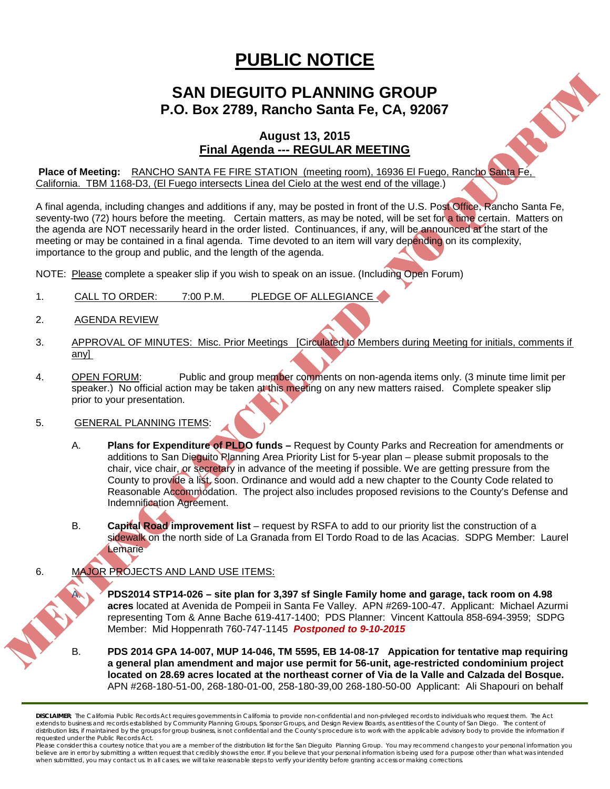## **PUBLIC NOTICE**

## **SAN DIEGUITO PLANNING GROUP P.O. Box 2789, Rancho Santa Fe, CA, 92067**

## **August 13, 2015 Final Agenda --- REGULAR MEETING**

**Place of Meeting:** RANCHO SANTA FE FIRE STATION (meeting room), 16936 El Fuego, Rancho Santa Fe, California. TBM 1168-D3, (El Fuego intersects Linea del Cielo at the west end of the village.)

A final agenda, including changes and additions if any, may be posted in front of the U.S. Post Office, Rancho Santa Fe, seventy-two (72) hours before the meeting. Certain matters, as may be noted, will be set for a time certain. Matters on the agenda are NOT necessarily heard in the order listed. Continuances, if any, will be announced at the start of the meeting or may be contained in a final agenda. Time devoted to an item will vary depending on its complexity, importance to the group and public, and the length of the agenda.

NOTE: Please complete a speaker slip if you wish to speak on an issue. (Including Open Forum)

- 1. CALL TO ORDER: 7:00 P.M. PLEDGE OF ALLEGIANCE
- 2. AGENDA REVIEW
- 3. APPROVAL OF MINUTES: Misc. Prior Meetings [Circulated to Members during Meeting for initials, comments if any]
- 4. OPEN FORUM: Public and group member comments on non-agenda items only. (3 minute time limit per speaker.) No official action may be taken at this meeting on any new matters raised. Complete speaker slip prior to your presentation.
- 5. GENERAL PLANNING ITEMS:
	- A. **Plans for Expenditure of PLDO funds –** Request by County Parks and Recreation for amendments or additions to San Dieguito Planning Area Priority List for 5-year plan – please submit proposals to the chair, vice chair, or secretary in advance of the meeting if possible. We are getting pressure from the County to provide a list, soon. Ordinance and would add a new chapter to the County Code related to Reasonable Accommodation. The project also includes proposed revisions to the County's Defense and Indemnification Agreement.
	- B. **Capital Road improvement list**  request by RSFA to add to our priority list the construction of a sidewalk on the north side of La Granada from El Tordo Road to de las Acacias. SDPG Member: Laurel **Lemarie**

## 6. MAJOR PROJECTS AND LAND USE ITEMS:

- A. **PDS2014 STP14-026 – site plan for 3,397 sf Single Family home and garage, tack room on 4.98 acres** located at Avenida de Pompeii in Santa Fe Valley. APN #269-100-47. Applicant: Michael Azurmi representing Tom & Anne Bache 619-417-1400; PDS Planner: Vincent Kattoula 858-694-3959; SDPG Member: Mid Hoppenrath 760-747-1145 *Postponed to 9-10-2015*
- B. **PDS 2014 GPA 14-007, MUP 14-046, TM 5595, EB 14-08-17 Appication for tentative map requiring a general plan amendment and major use permit for 56-unit, age-restricted condominium project located on 28.69 acres located at the northeast corner of Via de la Valle and Calzada del Bosque.**  APN #268-180-51-00, 268-180-01-00, 258-180-39,00 268-180-50-00 Applicant: Ali Shapouri on behalf

*DISCLAIMER; The California Public Records Act requires governments in California to provide non-confidential and non-privileged records to individuals who request them. The Act*  extends to business and records established by Community Planning Groups, Sponsor Groups, and Design Review Boards, as entities of the County of San Diego. The content of distribution lists, if maintained by the groups for group business, is not confidential and the County's procedure is to work with the applicable advisory body to provide the information if *requested under the Public Records Act.*

Please consider this a courtesy notice that you are a member of the distribution list for the San Dieguito Planning Group. You may recommend changes to your personal information you believe are in error by submitting a written request that credibly shows the error. If you believe that your personal information is being used for a purpose other than what was intended<br>when submitted, you may contact us.